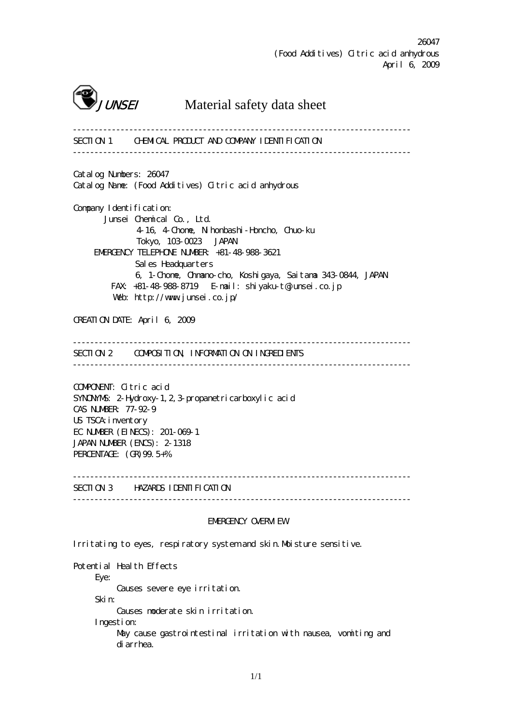

**JUNSEI** Material safety data sheet

------------------------------------------------------------------------------ SECTION 1 CHEMICAL PRODUCT AND COMPANY IDENTIFICATION ------------------------------------------------------------------------------ Catalog Numbers: 26047 Catalog Name: (Food Additives) Citric acid anhydrous Company I dentification: Junsei Chemical Co., Ltd. 4-16, 4-Chome, Nihonbashi-Honcho, Chuo-ku Tokyo, 103-0023 JAPAN EMERGENCY TELEPHONE NUMBER: +81-48-988-3621 Sales Headquarters 6, 1-Chome, Ohmano-cho, Koshigaya, Saitama 343-0844, JAPAN FAX: +81-48-988-8719 E-mail: shiyaku-t@junsei.co.jp Web: http://www.junsei.co.jp/ CREATION DATE: April 6, 2009 ------------------------------------------------------------------------------ SECTION 2 COMPOSITION, INFORMATION ON INGREDIENTS ------------------------------------------------------------------------------ COMPONENT: Citric acid SYNONYMS: 2-Hydroxy-1, 2, 3-propanetricarboxylic acid CAS NUMBER: 77-92-9 US TSCA: inventory EC NUMBER (EINECS): 201-069-1 JAPAN NUMBER (ENCS): 2-1318 PERCENTAGE: (GR)99.5+% ------------------------------------------------------------------------------ SECTION 3 HAZARDS IDENTIFICATION ------------------------------------------------------------------------------ EMERGENCY OVERVIEW Irritating to eyes, respiratory system and skin. Moisture sensitive. Potential Health Effects

 Eye: Causes severe eye irritation. Skin: Causes moderate skin irritation. Ingestion: May cause gastrointestinal irritation with nausea, vomiting and diarrhea.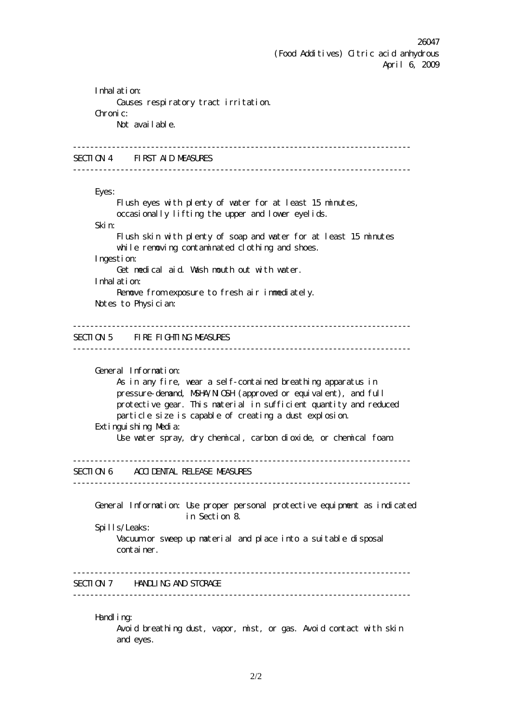Inhalation: Causes respiratory tract irritation. Chronic: Not avail able. ------------------------------------------------------------------------------ SECTION 4 FIRST AID MEASURES ------------------------------------------------------------------------------ Eyes: Flush eyes with plenty of water for at least 15 minutes, occasionally lifting the upper and lower eyelids. Skin: Flush skin with plenty of soap and water for at least 15 minutes while removing contaminated clothing and shoes. Ingestion: Get medical aid. Wash mouth out with water. Inhalation: Renove from exposure to fresh air inmediately. Notes to Physician: ------------------------------------------------------------------------------ SECTION 5 FIRE FIGHTING MEASURES ------------------------------------------------------------------------------ General Information: As in any fire, wear a self-contained breathing apparatus in pressure-demand, NSH4/NICSH (approved or equivalent), and full protective gear. This material in sufficient quantity and reduced particle size is capable of creating a dust explosion. Extinguishing Media: Use water spray, dry chemical, carbon dioxide, or chemical foam. ------------------------------------------------------------------------------ SECTION 6 ACCIDENTAL RELEASE MEASURES ------------------------------------------------------------------------------ General Information: Use proper personal protective equipment as indicated in Section 8. Spills/Leaks: Vacuum or sweep up material and place into a suitable disposal container. ------------------------------------------------------------------------------ SECTION 7 HANDLING AND STORAGE  $-$ Handl i no: Avoid breathing dust, vapor, mist, or gas. Avoid contact with skin

and eyes.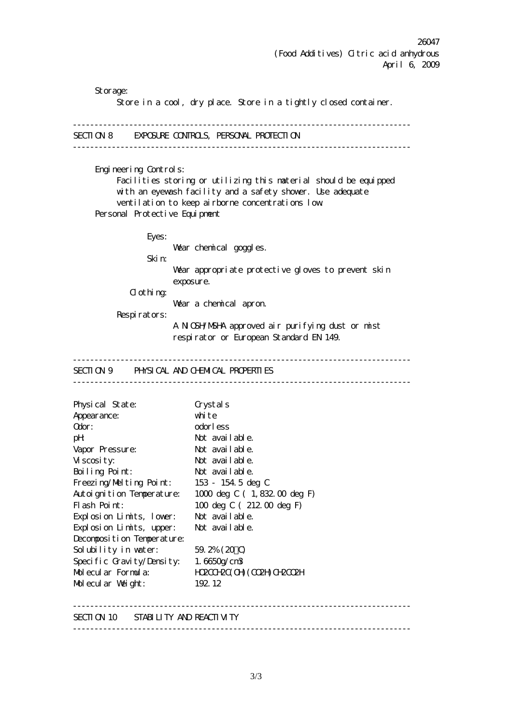Storage: Store in a cool, dry place. Store in a tightly closed container. ------------------------------------------------------------------------------ SECTION 8 EXPOSURE CONTROLS, PERSONAL PROTECTION ------------------------------------------------------------------------------ Engineering Controls: Facilities storing or utilizing this material should be equipped with an eyewash facility and a safety shower. Use adequate ventilation to keep airborne concentrations low. Personal Protective Equipment Eyes: Wear chemical goggles. Skin: Wear appropriate protective gloves to prevent skin exposure. Clothing: Wear a chemical apron. Respirators: A NIOSH/MSHA approved air purifying dust or mist respirator or European Standard EN 149. ------------------------------------------------------------------------------ SECTION 9 PHYSICAL AND CHEMICAL PROPERTIES ------------------------------------------------------------------------------ Physical State: Crystals Appearance: white Odor: odorless pH: Not available. Vapor Pressure: Not available. Viscosity: Not available. Boiling Point: Not available. Freezing/Melting Point: 153 - 154.5 deg C Autoignition Temperature: 1000 deg C ( 1,832.00 deg F) Flash Point: 100 deg C ( 212.00 deg F) Explosion Limits, lower: Not available. Explosion Limits, upper: Not available. Decomposition Temperature: Solubility in water:  $59.2\% (20 \text{ C})$ Specific Gravity/Density: 1.6650g/cm3 Molecular Formula: HO2COH2C(OH)(CO2H)CH2CO2H Molecular Weight: 192.12 ------------------------------------------------------------------------------ SECTION 10 STABILITY AND REACTIVITY ------------------------------------------------------------------------------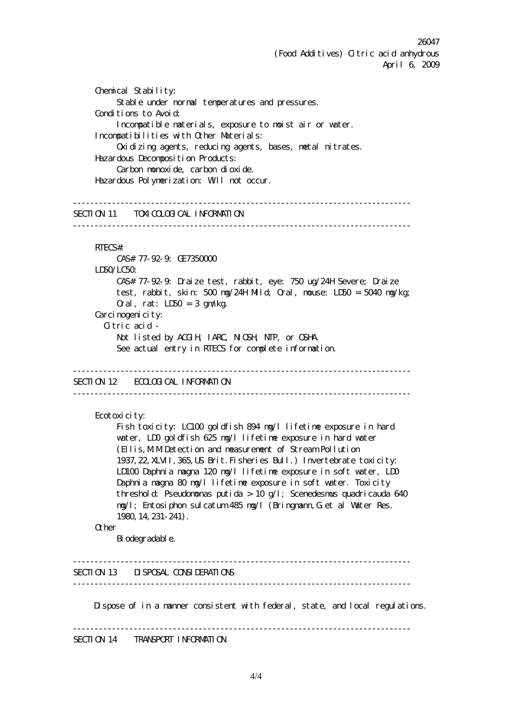Chemical Stability: Stable under normal temperatures and pressures. Conditions to Avoid: Incompatible materials, exposure to moist air or water. Incompatibilities with Other Materials: Oxidizing agents, reducing agents, bases, metal nitrates. Hazardous Deconposition Products: Carbon nonoxide, carbon dioxide. Hazardous Polymerization: Will not occur. ------------------------------------------------------------------------------ SECTION 11 TOXICOLOGICAL INFORMATION  $-$  RTECS#: CAS# 77-92-9: GE7350000 LD50/LC50: CAS# 77-92-9: Draize test, rabbit, eye: 750 ug/24H Severe; Draize test, rabbit, skin: 500 mg/24H Mild; Oral, mouse: LD50 = 5040 mg/kg; Oral, rat:  $LD50 = 3$  gm/kg. Carci nogenicity: Citric acid - Not listed by ACGIH, IARC, NIOSH, NTP, or OSHA. See actual entry in RTECS for complete information. ------------------------------------------------------------------------------ SECTION 12 ECOLOGICAL INFORMATION ------------------------------------------------------------------------------ Ecotoxicity: Fish toxicity: LC100 goldfish 894 mg/l lifetime exposure in hard water, LD0 goldfish 625 mg/l lifetime exposure in hard water (Ellis,M.M.Detection and measurement of Stream Pollution 1937,22,XLVII,365,US Brit.Fisheries Bull.) Invertebrate toxicity: LD100 Daphnia magna 120 mg/l lifetime exposure in soft water, LD0 Daphnia magna 80 mg/l lifetime exposure in soft water. Toxicity threshold: Pseudononas putida > 10 g/l; Scenedesmus quadricauda 640 mg/l; Entosiphon sulcatum 485 mg/l (Bringmann,G.et al Water Res. 1980,14,231-241). **Other** Bi odegradable. ------------------------------------------------------------------------------ SECTION 13 DISPOSAL CONSIDERATIONS ------------------------------------------------------------------------------ Dispose of in a manner consistent with federal, state, and local regulations. ------------------------------------------------------------------------------

SECTION 14 TRANSPORT INFORMATION